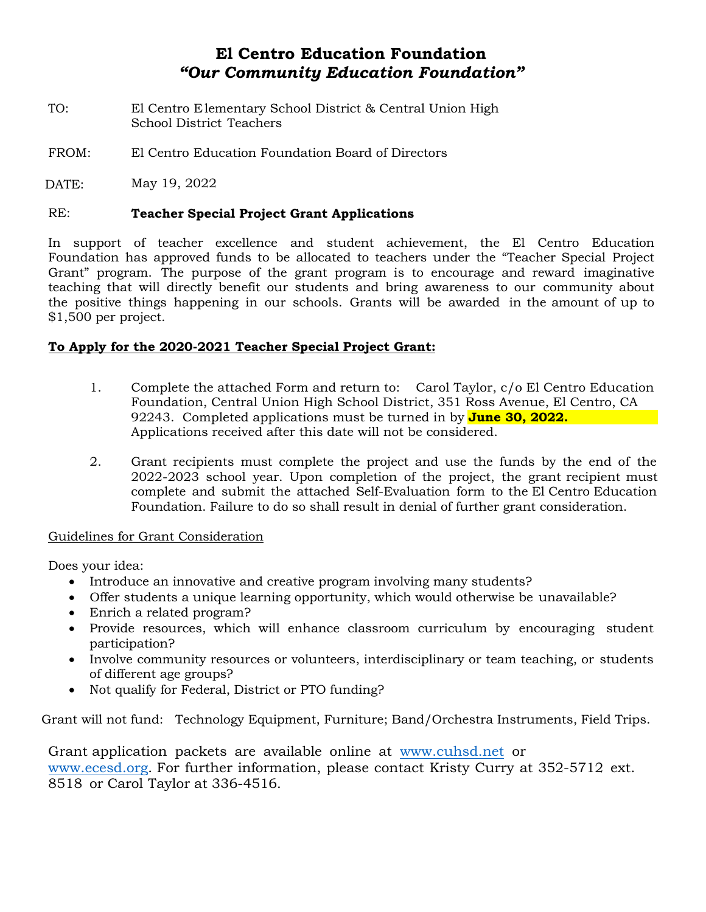## **El Centro Education Foundation** *"Our Community Education Foundation"*

- TO: El Centro Elementary School District & Central Union High School District Teachers
- FROM: El Centro Education Foundation Board of Directors

May 19, 2022 DATE:

#### RE: **Teacher Special Project Grant Applications**

In support of teacher excellence and student achievement, the El Centro Education Foundation has approved funds to be allocated to teachers under the "Teacher Special Project Grant" program. The purpose of the grant program is to encourage and reward imaginative teaching that will directly benefit our students and bring awareness to our community about the positive things happening in our schools. Grants will be awarded in the amount of up to \$1,500 per project.

#### **To Apply for the 2020-2021 Teacher Special Project Grant:**

- 1. Complete the attached Form and return to: Carol Taylor, c/o El Centro Education Foundation, Central Union High School District, 351 Ross Avenue, El Centro, CA 92243. Completed applications must be turned in by **June 30, 2022.** Applications received after this date will not be considered.
- 2. Grant recipients must complete the project and use the funds by the end of the 2022-2023 school year. Upon completion of the project, the grant recipient must complete and submit the attached Self-Evaluation form to the El Centro Education Foundation. Failure to do so shall result in denial of further grant consideration.

#### Guidelines for Grant Consideration

Does your idea:

- Introduce an innovative and creative program involving many students?
- Offer students a unique learning opportunity, which would otherwise be unavailable?
- Enrich a related program?
- Provide resources, which will enhance classroom curriculum by encouraging student participation?
- Involve community resources or volunteers, interdisciplinary or team teaching, or students of different age groups?
- Not qualify for Federal, District or PTO funding?

Grant will not fund: Technology Equipment, Furniture; Band/Orchestra Instruments, Field Trips.

Grant application packets are available online at [www.cuhsd.net or](http://www.cuhsd.net/) [www.ecesd.org. For further information, please contact Kristy Curry at](http://www.ecesd.org/) 352-5712 ext. 8518 or Carol Taylor at 336-4516.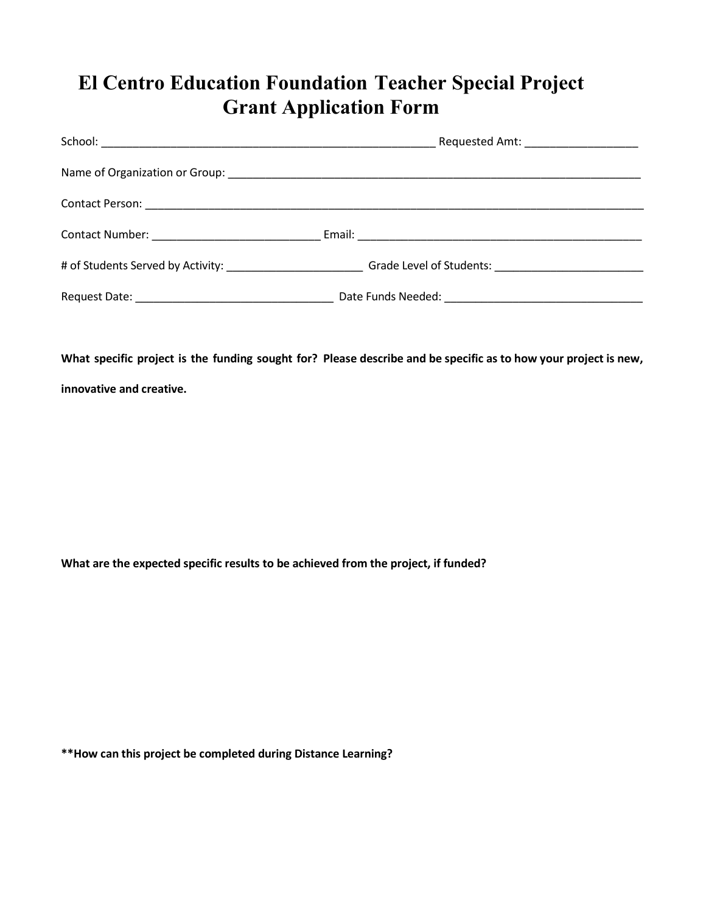# **El Centro Education Foundation Teacher Special Project Grant Application Form**

| Requested Amt: _______________________                                                                         |
|----------------------------------------------------------------------------------------------------------------|
|                                                                                                                |
|                                                                                                                |
|                                                                                                                |
| # of Students Served by Activity: ______________________________Grade Level of Students: _____________________ |
|                                                                                                                |

**What specific project is the funding sought for? Please describe and be specific as to how your project is new,** 

**innovative and creative.**

**What are the expected specific results to be achieved from the project, if funded?**

**\*\*How can this project be completed during Distance Learning?**